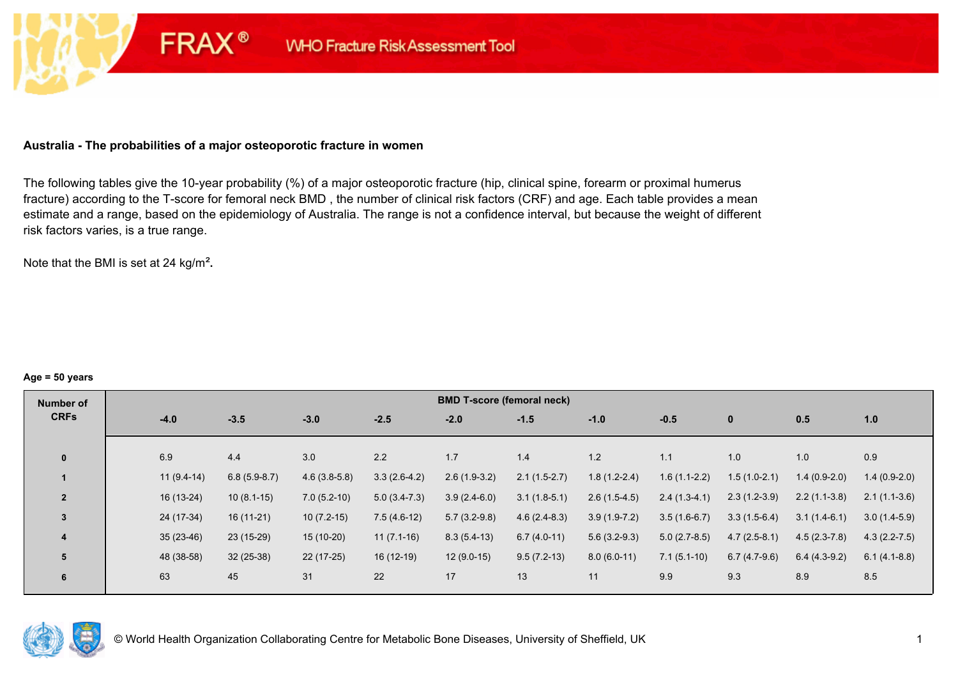#### **Australia - The probabilities of a major osteoporotic fracture in women**

**FRAX®** 

The following tables give the 10-year probability (%) of a major osteoporotic fracture (hip, clinical spine, forearm or proximal humerus fracture) according to the T-score for femoral neck BMD , the number of clinical risk factors (CRF) and age. Each table provides a mean estimate and a range, based on the epidemiology of Australia. The range is not a confidence interval, but because the weight of different risk factors varies, is a true range.

Note that the BMI is set at 24 kg/m²**.** 

#### **Age = 50 years**

| Number of      |     |              |                |                |                | <b>BMD T-score (femoral neck)</b> |                |                |                |                |                |                  |
|----------------|-----|--------------|----------------|----------------|----------------|-----------------------------------|----------------|----------------|----------------|----------------|----------------|------------------|
| <b>CRFs</b>    |     | $-4.0$       | $-3.5$         | $-3.0$         | $-2.5$         | $-2.0$                            | $-1.5$         | $-1.0$         | $-0.5$         | $\mathbf{0}$   | 0.5            | 1.0              |
|                |     |              |                |                |                |                                   |                |                |                |                |                |                  |
| $\mathbf{0}$   | 6.9 |              | 4.4            | 3.0            | 2.2            | 1.7                               | 1.4            | 1.2            | 1.1            | 1.0            | 1.0            | 0.9              |
|                |     | $11(9.4-14)$ | $6.8(5.9-8.7)$ | $4.6(3.8-5.8)$ | $3.3(2.6-4.2)$ | $2.6(1.9-3.2)$                    | $2.1(1.5-2.7)$ | $1.8(1.2-2.4)$ | $1.6(1.1-2.2)$ | $1.5(1.0-2.1)$ | $1.4(0.9-2.0)$ | $1.4(0.9-2.0)$   |
| $\overline{2}$ |     | $16(13-24)$  | $10(8.1-15)$   | $7.0(5.2-10)$  | $5.0(3.4-7.3)$ | $3.9(2.4-6.0)$                    | $3.1(1.8-5.1)$ | $2.6(1.5-4.5)$ | $2.4(1.3-4.1)$ | $2.3(1.2-3.9)$ | $2.2(1.1-3.8)$ | $2.1(1.1-3.6)$   |
| 3              |     | 24 (17-34)   | $16(11-21)$    | $10(7.2-15)$   | $7.5(4.6-12)$  | $5.7(3.2-9.8)$                    | $4.6(2.4-8.3)$ | $3.9(1.9-7.2)$ | $3.5(1.6-6.7)$ | $3.3(1.5-6.4)$ | $3.1(1.4-6.1)$ | $3.0(1.4-5.9)$   |
| 4              |     | $35(23-46)$  | 23 (15-29)     | 15 (10-20)     | $11(7.1-16)$   | $8.3(5.4-13)$                     | $6.7(4.0-11)$  | $5.6(3.2-9.3)$ | $5.0(2.7-8.5)$ | $4.7(2.5-8.1)$ | $4.5(2.3-7.8)$ | $4.3(2.2 - 7.5)$ |
| 5              |     | 48 (38-58)   | $32(25-38)$    | $22(17-25)$    | $16(12-19)$    | $12(9.0-15)$                      | $9.5(7.2-13)$  | $8.0(6.0-11)$  | $7.1(5.1-10)$  | $6.7(4.7-9.6)$ | $6.4(4.3-9.2)$ | $6.1(4.1-8.8)$   |
| 6              | 63  |              | 45             | 31             | 22             | 17                                | 13             | 11             | 9.9            | 9.3            | 8.9            | 8.5              |

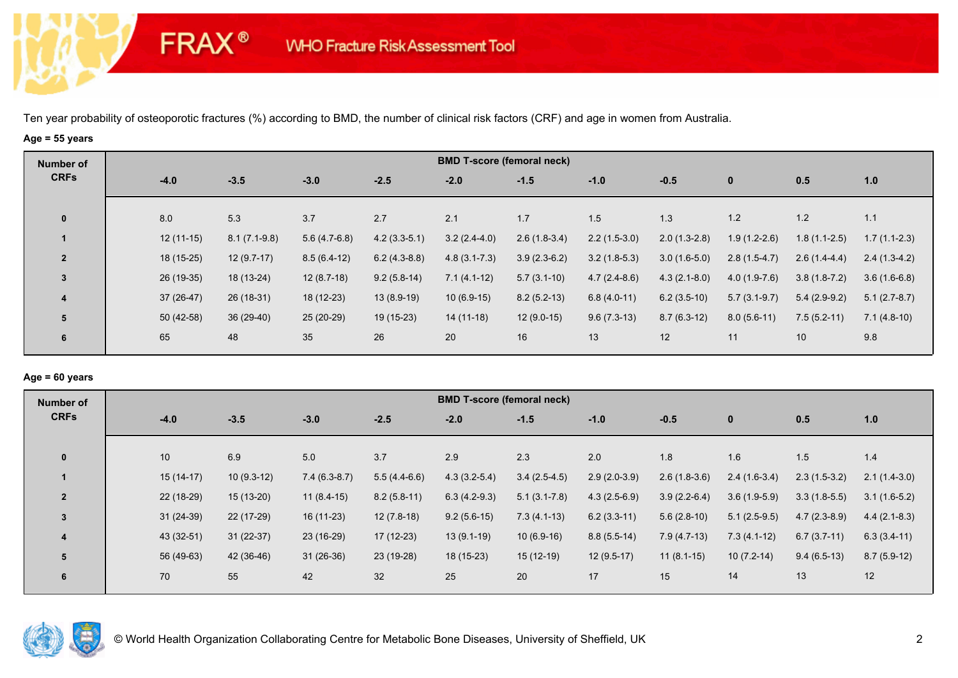## **Age = 55 years**

**FRAX®** 

| <b>BMD T-score (femoral neck)</b><br>Number of                                                                                                                                                |                |
|-----------------------------------------------------------------------------------------------------------------------------------------------------------------------------------------------|----------------|
| <b>CRFs</b><br>$-3.5$<br>$-3.0$<br>$-2.5$<br>$-4.0$<br>$-2.0$<br>$-1.5$<br>$-1.0$<br>$-0.5$<br>$\mathbf{0}$<br>0.5                                                                            | 1.0            |
| 8.0<br>5.3<br>3.7<br>2.7<br>2.1<br>1.7<br>1.5<br>1.3<br>1.2<br>1.2<br>$\mathbf{0}$                                                                                                            | 1.1            |
| $3.2(2.4-4.0)$<br>$2.2(1.5-3.0)$<br>$1.9(1.2-2.6)$<br>$12(11-15)$<br>$8.1(7.1-9.8)$<br>$5.6(4.7-6.8)$<br>$4.2(3.3-5.1)$<br>$2.6(1.8-3.4)$<br>$2.0(1.3-2.8)$<br>$1.8(1.1-2.5)$                 | $1.7(1.1-2.3)$ |
| $3.9(2.3-6.2)$<br>18 (15-25)<br>$12(9.7-17)$<br>$8.5(6.4-12)$<br>$6.2(4.3-8.8)$<br>$4.8(3.1 - 7.3)$<br>$3.2(1.8-5.3)$<br>$3.0(1.6-5.0)$<br>$2.8(1.5-4.7)$<br>$2.6(1.4-4.4)$<br>$\overline{2}$ | $2.4(1.3-4.2)$ |
| $\mathbf{3}$<br>26 (19-35)<br>$12(8.7-18)$<br>18 (13-24)<br>$9.2(5.8-14)$<br>$7.1(4.1-12)$<br>$5.7(3.1-10)$<br>$4.7(2.4-8.6)$<br>$4.3(2.1-8.0)$<br>$4.0(1.9-7.6)$<br>$3.8(1.8-7.2)$           | $3.6(1.6-6.8)$ |
| $8.2(5.2-13)$<br>37 (26-47)<br>$26(18-31)$<br>18 (12-23)<br>$13(8.9-19)$<br>$10(6.9-15)$<br>$6.2(3.5-10)$<br>$6.8(4.0-11)$<br>$5.4(2.9-9.2)$<br>$5.7(3.1-9.7)$<br>$\overline{\mathbf{4}}$     | $5.1(2.7-8.7)$ |
| 5<br>$50(42-58)$<br>36 (29-40)<br>25 (20-29)<br>19 (15-23)<br>$12(9.0-15)$<br>$9.6(7.3-13)$<br>$8.7(6.3-12)$<br>$14(11-18)$<br>$8.0(5.6-11)$<br>$7.5(5.2-11)$                                 | $7.1(4.8-10)$  |
| 65<br>35<br>26<br>48<br>20<br>16<br>13<br>12<br>11<br>10<br>6                                                                                                                                 | 9.8            |

## **Age = 60 years**

| Number of      |             |              |                |                | <b>BMD T-score (femoral neck)</b> |                  |                |                |                |                |                |
|----------------|-------------|--------------|----------------|----------------|-----------------------------------|------------------|----------------|----------------|----------------|----------------|----------------|
| <b>CRFs</b>    | $-4.0$      | $-3.5$       | $-3.0$         | $-2.5$         | $-2.0$                            | $-1.5$           | $-1.0$         | $-0.5$         | $\mathbf{0}$   | 0.5            | 1.0            |
| $\mathbf{0}$   | 10          | 6.9          | 5.0            | 3.7            | 2.9                               | 2.3              | 2.0            | 1.8            | 1.6            | 1.5            | 1.4            |
|                | $15(14-17)$ | $10(9.3-12)$ | $7.4(6.3-8.7)$ | $5.5(4.4-6.6)$ | $4.3(3.2-5.4)$                    | $3.4(2.5-4.5)$   | $2.9(2.0-3.9)$ | $2.6(1.8-3.6)$ | $2.4(1.6-3.4)$ | $2.3(1.5-3.2)$ | $2.1(1.4-3.0)$ |
| $\overline{2}$ | 22 (18-29)  | $15(13-20)$  | $11(8.4-15)$   | $8.2(5.8-11)$  | $6.3(4.2-9.3)$                    | $5.1(3.1 - 7.8)$ | $4.3(2.5-6.9)$ | $3.9(2.2-6.4)$ | $3.6(1.9-5.9)$ | $3.3(1.8-5.5)$ | $3.1(1.6-5.2)$ |
| $\overline{3}$ | $31(24-39)$ | 22 (17-29)   | $16(11-23)$    | $12(7.8-18)$   | $9.2(5.6-15)$                     | $7.3(4.1-13)$    | $6.2(3.3-11)$  | $5.6(2.8-10)$  | $5.1(2.5-9.5)$ | $4.7(2.3-8.9)$ | $4.4(2.1-8.3)$ |
| $\overline{4}$ | 43 (32-51)  | $31(22-37)$  | 23 (16-29)     | $17(12-23)$    | $13(9.1-19)$                      | $10(6.9-16)$     | $8.8(5.5-14)$  | $7.9(4.7-13)$  | $7.3(4.1-12)$  | $6.7(3.7-11)$  | $6.3(3.4-11)$  |
| 5              | 56 (49-63)  | 42 (36-46)   | $31(26-36)$    | 23 (19-28)     | $18(15-23)$                       | $15(12-19)$      | $12(9.5-17)$   | $11(8.1-15)$   | $10(7.2-14)$   | $9.4(6.5-13)$  | $8.7(5.9-12)$  |
| 6              | 70          | 55           | 42             | 32             | 25                                | 20               | 17             | 15             | 14             | 13             | 12             |

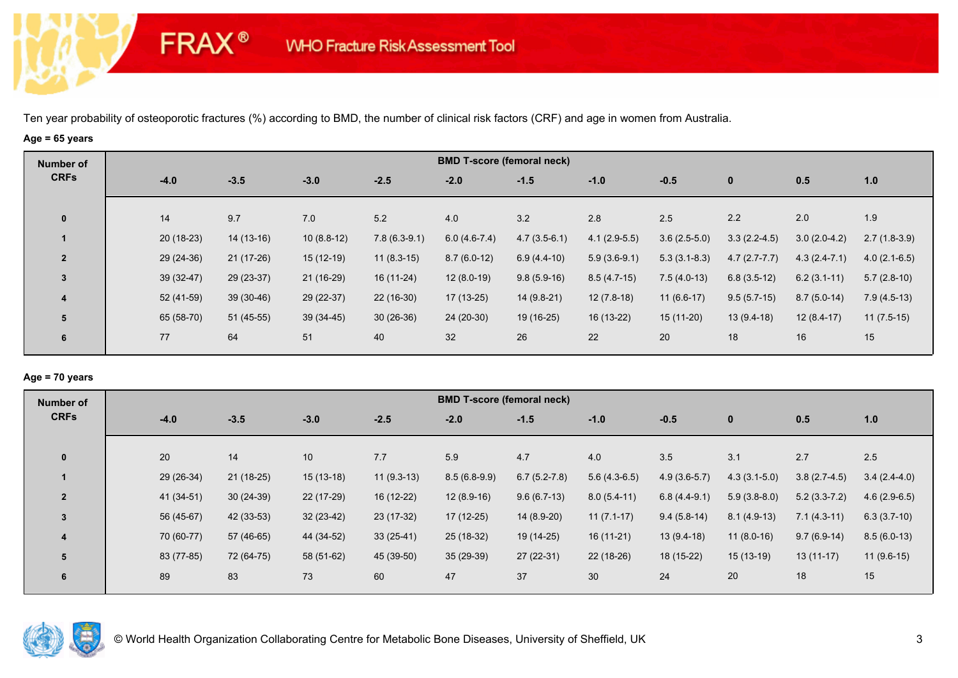### **Age = 65 years**

**FRAX®** 

| Number of               |             |             |              |                | <b>BMD T-score (femoral neck)</b> |                |                |                |                |                |                |
|-------------------------|-------------|-------------|--------------|----------------|-----------------------------------|----------------|----------------|----------------|----------------|----------------|----------------|
| <b>CRFs</b>             | $-4.0$      | $-3.5$      | $-3.0$       | $-2.5$         | $-2.0$                            | $-1.5$         | $-1.0$         | $-0.5$         | $\mathbf{0}$   | 0.5            | 1.0            |
| $\mathbf{0}$            | 14          | 9.7         | 7.0          | 5.2            | 4.0                               | 3.2            | 2.8            | 2.5            | 2.2            | 2.0            | 1.9            |
|                         | $20(18-23)$ | $14(13-16)$ | $10(8.8-12)$ | $7.8(6.3-9.1)$ | $6.0(4.6-7.4)$                    | $4.7(3.5-6.1)$ | $4.1(2.9-5.5)$ | $3.6(2.5-5.0)$ | $3.3(2.2-4.5)$ | $3.0(2.0-4.2)$ | $2.7(1.8-3.9)$ |
| $\overline{2}$          | $29(24-36)$ | $21(17-26)$ | $15(12-19)$  | $11(8.3-15)$   | $8.7(6.0-12)$                     | $6.9(4.4-10)$  | $5.9(3.6-9.1)$ | $5.3(3.1-8.3)$ | $4.7(2.7-7.7)$ | $4.3(2.4-7.1)$ | $4.0(2.1-6.5)$ |
| $\overline{3}$          | $39(32-47)$ | 29 (23-37)  | 21 (16-29)   | 16 (11-24)     | $12(8.0-19)$                      | $9.8(5.9-16)$  | $8.5(4.7-15)$  | $7.5(4.0-13)$  | $6.8(3.5-12)$  | $6.2(3.1-11)$  | $5.7(2.8-10)$  |
| $\overline{\mathbf{4}}$ | 52 (41-59)  | $39(30-46)$ | 29 (22-37)   | $22(16-30)$    | 17 (13-25)                        | $14(9.8-21)$   | $12(7.8-18)$   | $11(6.6-17)$   | $9.5(5.7-15)$  | $8.7(5.0-14)$  | $7.9(4.5-13)$  |
| 5                       | 65 (58-70)  | 51 (45-55)  | $39(34-45)$  | $30(26-36)$    | 24 (20-30)                        | 19 (16-25)     | 16 (13-22)     | $15(11-20)$    | $13(9.4-18)$   | $12(8.4-17)$   | $11(7.5-15)$   |
| 6                       | 77          | 64          | 51           | 40             | 32                                | 26             | 22             | 20             | 18             | 16             | 15             |
|                         |             |             |              |                |                                   |                |                |                |                |                |                |

## **Age = 70 years**

| Number of                |            |             |             |              | <b>BMD T-score (femoral neck)</b> |                |                |                |                |                |                |
|--------------------------|------------|-------------|-------------|--------------|-----------------------------------|----------------|----------------|----------------|----------------|----------------|----------------|
| <b>CRFs</b>              | $-4.0$     | $-3.5$      | $-3.0$      | $-2.5$       | $-2.0$                            | $-1.5$         | $-1.0$         | $-0.5$         | $\mathbf{0}$   | 0.5            | 1.0            |
|                          |            |             |             |              |                                   |                |                |                |                |                |                |
| $\mathbf{0}$             | 20         | 14          | 10          | 7.7          | 5.9                               | 4.7            | 4.0            | 3.5            | 3.1            | 2.7            | 2.5            |
|                          | 29 (26-34) | $21(18-25)$ | $15(13-18)$ | $11(9.3-13)$ | $8.5(6.8-9.9)$                    | $6.7(5.2-7.8)$ | $5.6(4.3-6.5)$ | $4.9(3.6-5.7)$ | $4.3(3.1-5.0)$ | $3.8(2.7-4.5)$ | $3.4(2.4-4.0)$ |
| $\overline{\phantom{a}}$ | 41 (34-51) | $30(24-39)$ | 22 (17-29)  | 16 (12-22)   | $12(8.9-16)$                      | $9.6(6.7-13)$  | $8.0(5.4-11)$  | $6.8(4.4-9.1)$ | $5.9(3.8-8.0)$ | $5.2(3.3-7.2)$ | $4.6(2.9-6.5)$ |
| $\overline{3}$           | 56 (45-67) | 42 (33-53)  | $32(23-42)$ | $23(17-32)$  | $17(12-25)$                       | $14(8.9-20)$   | $11(7.1-17)$   | $9.4(5.8-14)$  | $8.1(4.9-13)$  | $7.1(4.3-11)$  | $6.3(3.7-10)$  |
| 4                        | 70 (60-77) | 57 (46-65)  | 44 (34-52)  | $33(25-41)$  | $25(18-32)$                       | 19 (14-25)     | $16(11-21)$    | $13(9.4-18)$   | $11(8.0-16)$   | $9.7(6.9-14)$  | $8.5(6.0-13)$  |
| 5                        | 83 (77-85) | 72 (64-75)  | 58 (51-62)  | 45 (39-50)   | $35(29-39)$                       | $27(22-31)$    | 22 (18-26)     | 18 (15-22)     | $15(13-19)$    | $13(11-17)$    | $11(9.6-15)$   |
| 6                        | 89         | 83          | 73          | 60           | 47                                | 37             | 30             | 24             | 20             | 18             | 15             |
|                          |            |             |             |              |                                   |                |                |                |                |                |                |

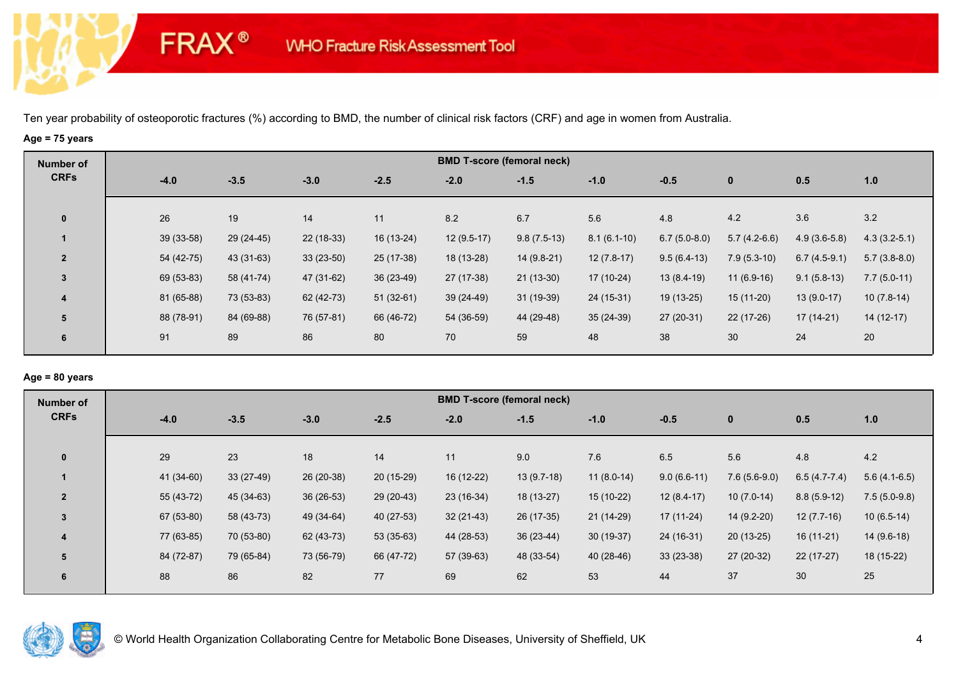# **Age = 75 years**

**FRAX®** 

| Number of      |             |            |             |             |              | <b>BMD T-score (femoral neck)</b> |               |                |                |                |                |
|----------------|-------------|------------|-------------|-------------|--------------|-----------------------------------|---------------|----------------|----------------|----------------|----------------|
| <b>CRFs</b>    | $-4.0$      | $-3.5$     | $-3.0$      | $-2.5$      | $-2.0$       | $-1.5$                            | $-1.0$        | $-0.5$         | $\mathbf 0$    | 0.5            | 1.0            |
| $\mathbf 0$    | 26          | 19         | 14          | 11          | 8.2          | 6.7                               | 5.6           | 4.8            | 4.2            | 3.6            | 3.2            |
|                | $39(33-58)$ | 29 (24-45) | $22(18-33)$ | $16(13-24)$ | $12(9.5-17)$ | $9.8(7.5-13)$                     | $8.1(6.1-10)$ | $6.7(5.0-8.0)$ | $5.7(4.2-6.6)$ | $4.9(3.6-5.8)$ | $4.3(3.2-5.1)$ |
| $\overline{2}$ | 54 (42-75)  | 43 (31-63) | $33(23-50)$ | 25 (17-38)  | 18 (13-28)   | $14(9.8-21)$                      | $12(7.8-17)$  | $9.5(6.4-13)$  | $7.9(5.3-10)$  | $6.7(4.5-9.1)$ | $5.7(3.8-8.0)$ |
| $\overline{3}$ | 69 (53-83)  | 58 (41-74) | 47 (31-62)  | $36(23-49)$ | 27 (17-38)   | $21(13-30)$                       | 17 (10-24)    | $13(8.4-19)$   | $11(6.9-16)$   | $9.1(5.8-13)$  | $7.7(5.0-11)$  |
| 4              | 81 (65-88)  | 73 (53-83) | 62 (42-73)  | $51(32-61)$ | 39 (24-49)   | $31(19-39)$                       | 24 (15-31)    | 19 (13-25)     | 15 (11-20)     | $13(9.0-17)$   | $10(7.8-14)$   |
| 5              | 88 (78-91)  | 84 (69-88) | 76 (57-81)  | 66 (46-72)  | 54 (36-59)   | 44 (29-48)                        | $35(24-39)$   | $27(20-31)$    | $22(17-26)$    | $17(14-21)$    | $14(12-17)$    |
| 6              | 91          | 89         | 86          | 80          | 70           | 59                                | 48            | 38             | 30             | 24             | 20             |

## **Age = 80 years**

| Number of      |            |             |             |             |             | <b>BMD T-score (femoral neck)</b> |              |               |                |                |                |
|----------------|------------|-------------|-------------|-------------|-------------|-----------------------------------|--------------|---------------|----------------|----------------|----------------|
| <b>CRFs</b>    | $-4.0$     | $-3.5$      | $-3.0$      | $-2.5$      | $-2.0$      | $-1.5$                            | $-1.0$       | $-0.5$        | $\mathbf{0}$   | 0.5            | 1.0            |
|                |            |             |             |             |             |                                   |              |               |                |                |                |
| $\mathbf{0}$   | 29         | 23          | 18          | 14          | 11          | 9.0                               | 7.6          | 6.5           | 5.6            | 4.8            | 4.2            |
|                | 41 (34-60) | $33(27-49)$ | 26 (20-38)  | $20(15-29)$ | 16 (12-22)  | $13(9.7-18)$                      | $11(8.0-14)$ | $9.0(6.6-11)$ | $7.6(5.6-9.0)$ | $6.5(4.7-7.4)$ | $5.6(4.1-6.5)$ |
| $\overline{2}$ | 55 (43-72) | 45 (34-63)  | $36(26-53)$ | 29 (20-43)  | $23(16-34)$ | 18 (13-27)                        | $15(10-22)$  | $12(8.4-17)$  | $10(7.0-14)$   | $8.8(5.9-12)$  | $7.5(5.0-9.8)$ |
| $\overline{3}$ | 67 (53-80) | 58 (43-73)  | 49 (34-64)  | 40 (27-53)  | $32(21-43)$ | 26 (17-35)                        | $21(14-29)$  | $17(11-24)$   | 14 (9.2-20)    | $12(7.7-16)$   | $10(6.5-14)$   |
| 4              | 77 (63-85) | 70 (53-80)  | 62 (43-73)  | $53(35-63)$ | 44 (28-53)  | $36(23-44)$                       | $30(19-37)$  | 24 (16-31)    | $20(13-25)$    | $16(11-21)$    | $14(9.6-18)$   |
| 5              | 84 (72-87) | 79 (65-84)  | 73 (56-79)  | 66 (47-72)  | 57 (39-63)  | 48 (33-54)                        | 40 (28-46)   | $33(23-38)$   | $27(20-32)$    | $22(17-27)$    | 18 (15-22)     |
| 6              | 88         | 86          | 82          | 77          | 69          | 62                                | 53           | 44            | 37             | 30             | 25             |
|                |            |             |             |             |             |                                   |              |               |                |                |                |